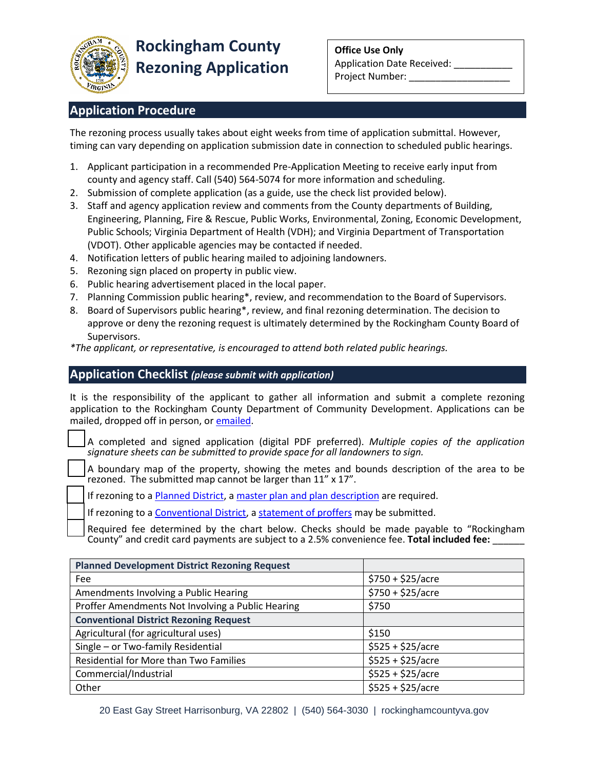

## **Application Procedure**

The rezoning process usually takes about eight weeks from time of application submittal. However, timing can vary depending on application submission date in connection to scheduled public hearings.

- 1. Applicant participation in a recommended Pre-Application Meeting to receive early input from county and agency staff. Call (540) 564-5074 for more information and scheduling.
- 2. Submission of complete application (as a guide, use the check list provided below).
- 3. Staff and agency application review and comments from the County departments of Building, Engineering, Planning, Fire & Rescue, Public Works, Environmental, Zoning, Economic Development, Public Schools; Virginia Department of Health (VDH); and Virginia Department of Transportation (VDOT). Other applicable agencies may be contacted if needed.
- 4. Notification letters of public hearing mailed to adjoining landowners.
- 5. Rezoning sign placed on property in public view.
- 6. Public hearing advertisement placed in the local paper.
- 7. Planning Commission public hearing\*, review, and recommendation to the Board of Supervisors.
- 8. Board of Supervisors public hearing\*, review, and final rezoning determination. The decision to approve or deny the rezoning request is ultimately determined by the Rockingham County Board of Supervisors.

*\*The applicant, or representative, is encouraged to attend both related public hearings.*

#### **Application Checklist** *(please submit with application)*

It is the responsibility of the applicant to gather all information and submit a complete rezoning application to the Rockingham County Department of Community Development. Applications can be mailed, dropped off in person, or [emailed.](https://www.rockinghamcountyva.gov/formcenter/Email-Forms-13/Email-Kayla-Yankey-69)

□ A completed and signed application (digital PDF preferred). *Multiple copies of the application signature sheets can be submitted to provide space for all landowners to sign.*

A boundary map of the property, showing the metes and bounds description of the area to be rezoned. The submitted map cannot be larger than 11" x 17".

If rezoning to [a Planned District,](https://library.municode.com/va/rockingham_county/codes/code_of_ordinances?nodeId=CH17ZO_ARTIVPLDI) a [master plan and plan description](https://library.municode.com/va/rockingham_county/codes/code_of_ordinances?nodeId=CH17ZO_ARTXPR_S17-1004.04MAPL) are required.

If rezoning to [a Conventional District,](https://library.municode.com/va/rockingham_county/codes/code_of_ordinances?nodeId=CH17ZO_ARTIIICODI) a [statement of proffers](https://library.municode.com/va/rockingham_county/codes/code_of_ordinances?nodeId=CH17ZO_ARTXPR_S17-1004.03STPR) may be submitted.

Required fee determined by the chart below. Checks should be made payable to "Rockingham County" and credit card payments are subject to a 2.5% convenience fee. **Total included fee:** \_\_\_\_\_\_

| <b>Planned Development District Rezoning Request</b> |                           |
|------------------------------------------------------|---------------------------|
| Fee                                                  | $$750 + $25/$ acre        |
| Amendments Involving a Public Hearing                | $$750 + $25/$ acre        |
| Proffer Amendments Not Involving a Public Hearing    | \$750                     |
| <b>Conventional District Rezoning Request</b>        |                           |
| Agricultural (for agricultural uses)                 | \$150                     |
| Single - or Two-family Residential                   | $$525 + $25/ \text{acre}$ |
| Residential for More than Two Families               | $$525 + $25/$ acre        |
| Commercial/Industrial                                | $$525 + $25/$ acre        |
| Other                                                | $$525 + $25/ \text{acre}$ |

20 East Gay Street Harrisonburg, VA 22802 | (540) 564-3030 | rockinghamcountyva.gov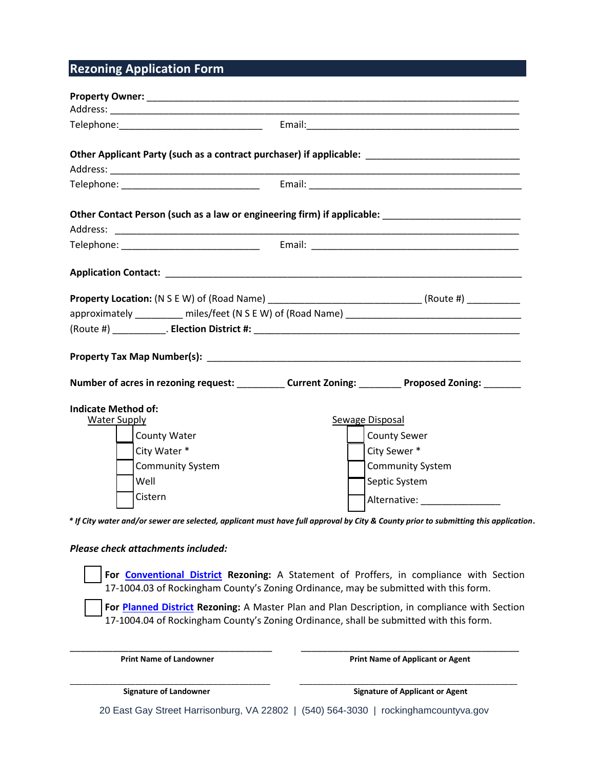# **Rezoning Application Form**

| Other Applicant Party (such as a contract purchaser) if applicable: ________________________________                            |                                                                                                                                                                                                                                                                                                                                                                            |  |
|---------------------------------------------------------------------------------------------------------------------------------|----------------------------------------------------------------------------------------------------------------------------------------------------------------------------------------------------------------------------------------------------------------------------------------------------------------------------------------------------------------------------|--|
|                                                                                                                                 |                                                                                                                                                                                                                                                                                                                                                                            |  |
|                                                                                                                                 | Other Contact Person (such as a law or engineering firm) if applicable: ___________________________                                                                                                                                                                                                                                                                        |  |
|                                                                                                                                 |                                                                                                                                                                                                                                                                                                                                                                            |  |
|                                                                                                                                 |                                                                                                                                                                                                                                                                                                                                                                            |  |
|                                                                                                                                 | <b>Property Location:</b> (N S E W) of (Road Name) ___________________________________(Route #) __________                                                                                                                                                                                                                                                                 |  |
|                                                                                                                                 |                                                                                                                                                                                                                                                                                                                                                                            |  |
|                                                                                                                                 |                                                                                                                                                                                                                                                                                                                                                                            |  |
|                                                                                                                                 | Number of acres in rezoning request: ___________ Current Zoning: _________ Proposed Zoning: _______                                                                                                                                                                                                                                                                        |  |
| <b>Indicate Method of:</b><br>Water Supply<br><b>County Water</b><br>City Water *<br><b>Community System</b><br>Well<br>Cistern | Sewage Disposal<br><b>County Sewer</b><br>City Sewer *<br><b>Community System</b><br>Septic System<br>Alternative: Alternative:<br>* If City water and/or sewer are selected, applicant must have full approval by City & County prior to submitting this application.                                                                                                     |  |
| Please check attachments included:                                                                                              | For Conventional District Rezoning: A Statement of Proffers, in compliance with Section<br>17-1004.03 of Rockingham County's Zoning Ordinance, may be submitted with this form.<br>For Planned District Rezoning: A Master Plan and Plan Description, in compliance with Section<br>17-1004.04 of Rockingham County's Zoning Ordinance, shall be submitted with this form. |  |
| <b>Print Name of Landowner</b>                                                                                                  | <b>Print Name of Applicant or Agent</b>                                                                                                                                                                                                                                                                                                                                    |  |
| <b>Signature of Landowner</b>                                                                                                   | <b>Signature of Applicant or Agent</b>                                                                                                                                                                                                                                                                                                                                     |  |

20 East Gay Street Harrisonburg, VA 22802 | (540) 564-3030 | rockinghamcountyva.gov